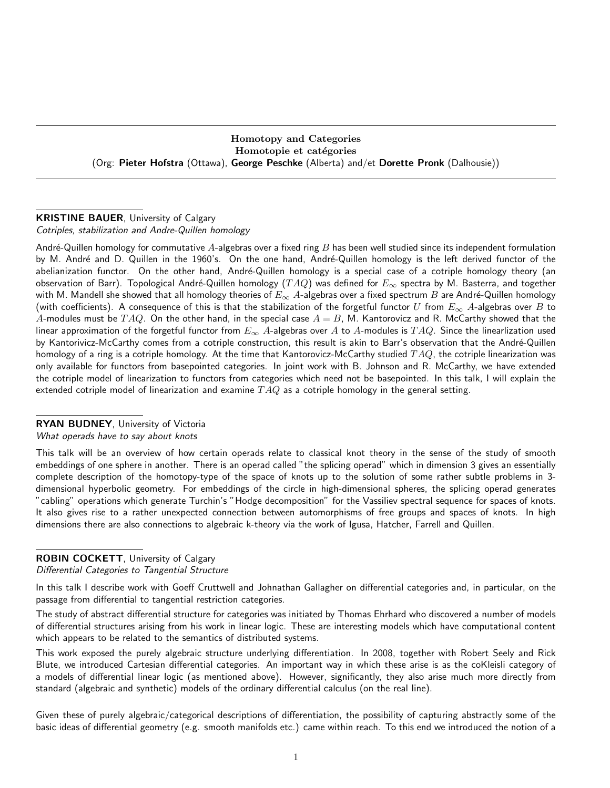### Homotopy and Categories Homotopie et catégories (Org: Pieter Hofstra (Ottawa), George Peschke (Alberta) and/et Dorette Pronk (Dalhousie))

## **KRISTINE BAUER, University of Calgary** Cotriples, stabilization and Andre-Quillen homology

André-Quillen homology for commutative  $A$ -algebras over a fixed ring  $B$  has been well studied since its independent formulation by M. André and D. Quillen in the 1960's. On the one hand, André-Quillen homology is the left derived functor of the abelianization functor. On the other hand, André-Quillen homology is a special case of a cotriple homology theory (an observation of Barr). Topological André-Quillen homology (TAQ) was defined for  $E_{\infty}$  spectra by M. Basterra, and together with M. Mandell she showed that all homology theories of  $E_{\infty}$  A-algebras over a fixed spectrum  $B$  are André-Quillen homology (with coefficients). A consequence of this is that the stabilization of the forgetful functor U from  $E_{\infty}$  A-algebras over B to A-modules must be  $TAQ$ . On the other hand, in the special case  $A=B$ , M. Kantorovicz and R. McCarthy showed that the linear approximation of the forgetful functor from  $E_{\infty}$  A-algebras over A to A-modules is  $TAQ$ . Since the linearlization used by Kantorivicz-McCarthy comes from a cotriple construction, this result is akin to Barr's observation that the André-Quillen homology of a ring is a cotriple homology. At the time that Kantorovicz-McCarthy studied  $TAQ$ , the cotriple linearization was only available for functors from basepointed categories. In joint work with B. Johnson and R. McCarthy, we have extended the cotriple model of linearization to functors from categories which need not be basepointed. In this talk, I will explain the extended cotriple model of linearization and examine  $TAQ$  as a cotriple homology in the general setting.

#### RYAN BUDNEY, University of Victoria

What operads have to say about knots

This talk will be an overview of how certain operads relate to classical knot theory in the sense of the study of smooth embeddings of one sphere in another. There is an operad called "the splicing operad" which in dimension 3 gives an essentially complete description of the homotopy-type of the space of knots up to the solution of some rather subtle problems in 3 dimensional hyperbolic geometry. For embeddings of the circle in high-dimensional spheres, the splicing operad generates "cabling" operations which generate Turchin's "Hodge decomposition" for the Vassiliev spectral sequence for spaces of knots. It also gives rise to a rather unexpected connection between automorphisms of free groups and spaces of knots. In high dimensions there are also connections to algebraic k-theory via the work of Igusa, Hatcher, Farrell and Quillen.

# ROBIN COCKETT, University of Calgary

Differential Categories to Tangential Structure

In this talk I describe work with Goeff Cruttwell and Johnathan Gallagher on differential categories and, in particular, on the passage from differential to tangential restriction categories.

The study of abstract differential structure for categories was initiated by Thomas Ehrhard who discovered a number of models of differential structures arising from his work in linear logic. These are interesting models which have computational content which appears to be related to the semantics of distributed systems.

This work exposed the purely algebraic structure underlying differentiation. In 2008, together with Robert Seely and Rick Blute, we introduced Cartesian differential categories. An important way in which these arise is as the coKleisli category of a models of differential linear logic (as mentioned above). However, significantly, they also arise much more directly from standard (algebraic and synthetic) models of the ordinary differential calculus (on the real line).

Given these of purely algebraic/categorical descriptions of differentiation, the possibility of capturing abstractly some of the basic ideas of differential geometry (e.g. smooth manifolds etc.) came within reach. To this end we introduced the notion of a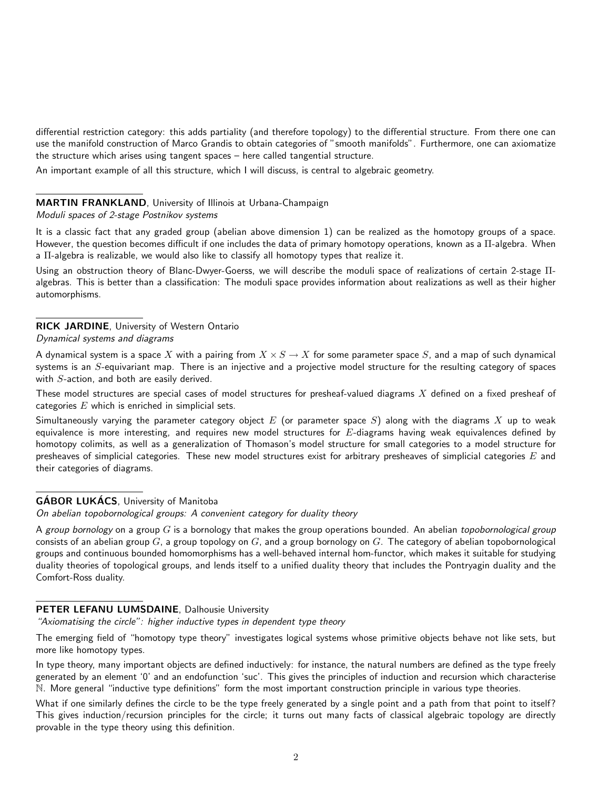differential restriction category: this adds partiality (and therefore topology) to the differential structure. From there one can use the manifold construction of Marco Grandis to obtain categories of "smooth manifolds". Furthermore, one can axiomatize the structure which arises using tangent spaces – here called tangential structure.

An important example of all this structure, which I will discuss, is central to algebraic geometry.

### MARTIN FRANKLAND, University of Illinois at Urbana-Champaign

#### Moduli spaces of 2-stage Postnikov systems

It is a classic fact that any graded group (abelian above dimension 1) can be realized as the homotopy groups of a space. However, the question becomes difficult if one includes the data of primary homotopy operations, known as a Π-algebra. When a Π-algebra is realizable, we would also like to classify all homotopy types that realize it.

Using an obstruction theory of Blanc-Dwyer-Goerss, we will describe the moduli space of realizations of certain 2-stage Πalgebras. This is better than a classification: The moduli space provides information about realizations as well as their higher automorphisms.

# RICK JARDINE, University of Western Ontario

#### Dynamical systems and diagrams

A dynamical system is a space X with a pairing from  $X \times S \to X$  for some parameter space S, and a map of such dynamical systems is an S-equivariant map. There is an injective and a projective model structure for the resulting category of spaces with S-action, and both are easily derived.

These model structures are special cases of model structures for presheaf-valued diagrams  $X$  defined on a fixed presheaf of categories  $E$  which is enriched in simplicial sets.

Simultaneously varying the parameter category object  $E$  (or parameter space  $S$ ) along with the diagrams  $X$  up to weak equivalence is more interesting, and requires new model structures for  $E$ -diagrams having weak equivalences defined by homotopy colimits, as well as a generalization of Thomason's model structure for small categories to a model structure for presheaves of simplicial categories. These new model structures exist for arbitrary presheaves of simplicial categories  $E$  and their categories of diagrams.

## **GÁBOR LUKÁCS, University of Manitoba**

On abelian topobornological groups: A convenient category for duality theory

A group bornology on a group  $G$  is a bornology that makes the group operations bounded. An abelian topobornological group consists of an abelian group  $G$ , a group topology on  $G$ , and a group bornology on  $G$ . The category of abelian topobornological groups and continuous bounded homomorphisms has a well-behaved internal hom-functor, which makes it suitable for studying duality theories of topological groups, and lends itself to a unified duality theory that includes the Pontryagin duality and the Comfort-Ross duality.

#### PETER LEFANU LUMSDAINE, Dalhousie University

"Axiomatising the circle": higher inductive types in dependent type theory

The emerging field of "homotopy type theory" investigates logical systems whose primitive objects behave not like sets, but more like homotopy types.

In type theory, many important objects are defined inductively: for instance, the natural numbers are defined as the type freely generated by an element '0' and an endofunction 'suc'. This gives the principles of induction and recursion which characterise N. More general "inductive type definitions" form the most important construction principle in various type theories.

What if one similarly defines the circle to be the type freely generated by a single point and a path from that point to itself? This gives induction/recursion principles for the circle; it turns out many facts of classical algebraic topology are directly provable in the type theory using this definition.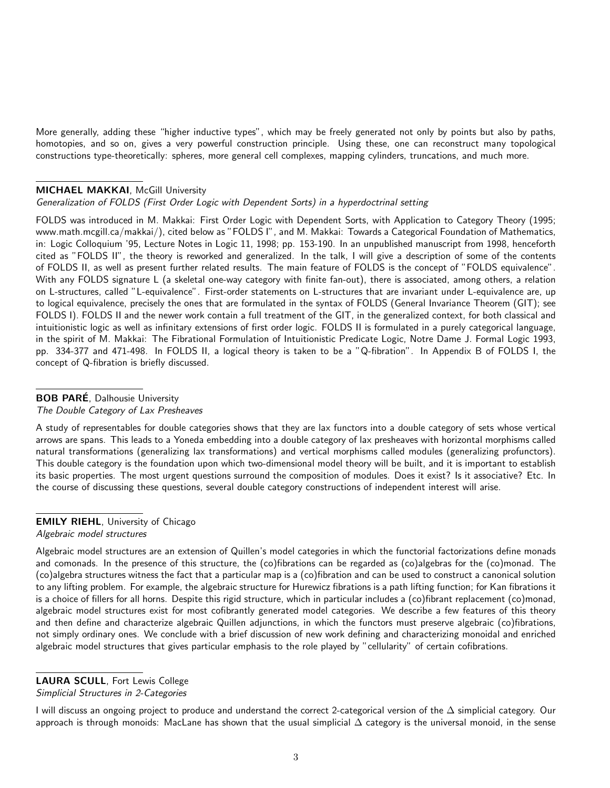More generally, adding these "higher inductive types", which may be freely generated not only by points but also by paths, homotopies, and so on, gives a very powerful construction principle. Using these, one can reconstruct many topological constructions type-theoretically: spheres, more general cell complexes, mapping cylinders, truncations, and much more.

#### **MICHAEL MAKKAI, McGill University**

#### Generalization of FOLDS (First Order Logic with Dependent Sorts) in a hyperdoctrinal setting

FOLDS was introduced in M. Makkai: First Order Logic with Dependent Sorts, with Application to Category Theory (1995; www.math.mcgill.ca/makkai/), cited below as "FOLDS I", and M. Makkai: Towards a Categorical Foundation of Mathematics, in: Logic Colloquium '95, Lecture Notes in Logic 11, 1998; pp. 153-190. In an unpublished manuscript from 1998, henceforth cited as "FOLDS II", the theory is reworked and generalized. In the talk, I will give a description of some of the contents of FOLDS II, as well as present further related results. The main feature of FOLDS is the concept of "FOLDS equivalence". With any FOLDS signature L (a skeletal one-way category with finite fan-out), there is associated, among others, a relation on L-structures, called "L-equivalence". First-order statements on L-structures that are invariant under L-equivalence are, up to logical equivalence, precisely the ones that are formulated in the syntax of FOLDS (General Invariance Theorem (GIT); see FOLDS I). FOLDS II and the newer work contain a full treatment of the GIT, in the generalized context, for both classical and intuitionistic logic as well as infinitary extensions of first order logic. FOLDS II is formulated in a purely categorical language, in the spirit of M. Makkai: The Fibrational Formulation of Intuitionistic Predicate Logic, Notre Dame J. Formal Logic 1993, pp. 334-377 and 471-498. In FOLDS II, a logical theory is taken to be a "Q-fibration". In Appendix B of FOLDS I, the concept of Q-fibration is briefly discussed.

# **BOB PARÉ**, Dalhousie University

The Double Category of Lax Presheaves

A study of representables for double categories shows that they are lax functors into a double category of sets whose vertical arrows are spans. This leads to a Yoneda embedding into a double category of lax presheaves with horizontal morphisms called natural transformations (generalizing lax transformations) and vertical morphisms called modules (generalizing profunctors). This double category is the foundation upon which two-dimensional model theory will be built, and it is important to establish its basic properties. The most urgent questions surround the composition of modules. Does it exist? Is it associative? Etc. In the course of discussing these questions, several double category constructions of independent interest will arise.

# **EMILY RIEHL, University of Chicago**

#### Algebraic model structures

Algebraic model structures are an extension of Quillen's model categories in which the functorial factorizations define monads and comonads. In the presence of this structure, the (co)fibrations can be regarded as (co)algebras for the (co)monad. The (co)algebra structures witness the fact that a particular map is a (co)fibration and can be used to construct a canonical solution to any lifting problem. For example, the algebraic structure for Hurewicz fibrations is a path lifting function; for Kan fibrations it is a choice of fillers for all horns. Despite this rigid structure, which in particular includes a (co)fibrant replacement (co)monad, algebraic model structures exist for most cofibrantly generated model categories. We describe a few features of this theory and then define and characterize algebraic Quillen adjunctions, in which the functors must preserve algebraic (co)fibrations, not simply ordinary ones. We conclude with a brief discussion of new work defining and characterizing monoidal and enriched algebraic model structures that gives particular emphasis to the role played by "cellularity" of certain cofibrations.

### LAURA SCULL, Fort Lewis College

Simplicial Structures in 2-Categories

I will discuss an ongoing project to produce and understand the correct 2-categorical version of the ∆ simplicial category. Our approach is through monoids: MacLane has shown that the usual simplicial  $\Delta$  category is the universal monoid, in the sense